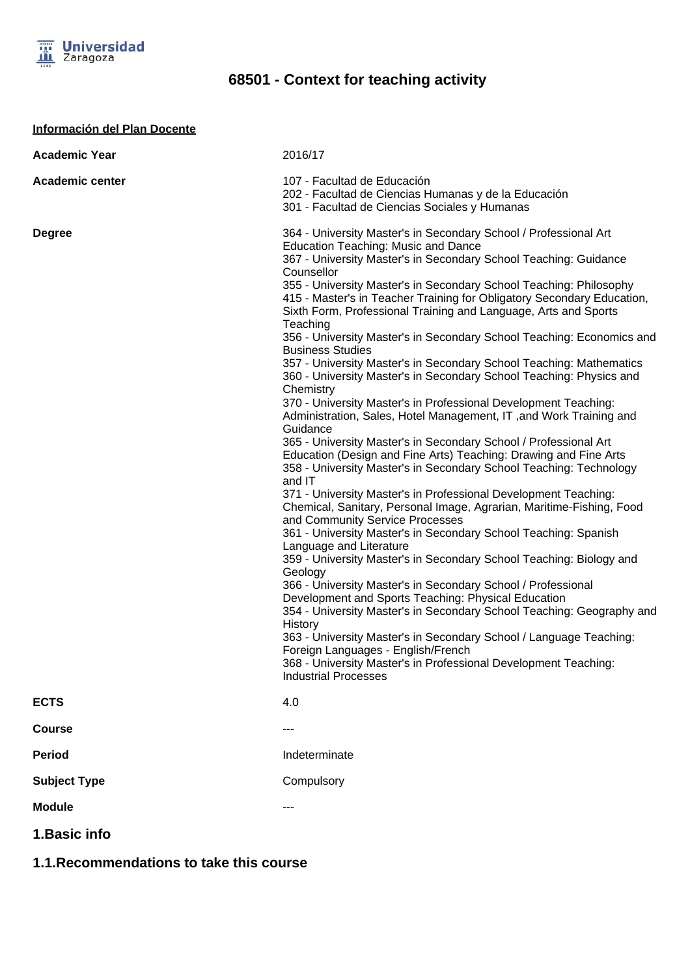

**Información del Plan Docente**

## **68501 - Context for teaching activity**

| <b>Academic Year</b>   | 2016/17                                                                                                                                                                                                                                                                                                                                                                                                                                                                                                                                                                                                                                                                                                                                                                                                                                                                                                                                                                                                                                                                                                                                                                                                                                                                                                                                                                                                                                                                                                                                                                                                                                                                                                                                                                                                                                                            |
|------------------------|--------------------------------------------------------------------------------------------------------------------------------------------------------------------------------------------------------------------------------------------------------------------------------------------------------------------------------------------------------------------------------------------------------------------------------------------------------------------------------------------------------------------------------------------------------------------------------------------------------------------------------------------------------------------------------------------------------------------------------------------------------------------------------------------------------------------------------------------------------------------------------------------------------------------------------------------------------------------------------------------------------------------------------------------------------------------------------------------------------------------------------------------------------------------------------------------------------------------------------------------------------------------------------------------------------------------------------------------------------------------------------------------------------------------------------------------------------------------------------------------------------------------------------------------------------------------------------------------------------------------------------------------------------------------------------------------------------------------------------------------------------------------------------------------------------------------------------------------------------------------|
| <b>Academic center</b> | 107 - Facultad de Educación<br>202 - Facultad de Ciencias Humanas y de la Educación<br>301 - Facultad de Ciencias Sociales y Humanas                                                                                                                                                                                                                                                                                                                                                                                                                                                                                                                                                                                                                                                                                                                                                                                                                                                                                                                                                                                                                                                                                                                                                                                                                                                                                                                                                                                                                                                                                                                                                                                                                                                                                                                               |
| <b>Degree</b>          | 364 - University Master's in Secondary School / Professional Art<br><b>Education Teaching: Music and Dance</b><br>367 - University Master's in Secondary School Teaching: Guidance<br>Counsellor<br>355 - University Master's in Secondary School Teaching: Philosophy<br>415 - Master's in Teacher Training for Obligatory Secondary Education,<br>Sixth Form, Professional Training and Language, Arts and Sports<br>Teaching<br>356 - University Master's in Secondary School Teaching: Economics and<br><b>Business Studies</b><br>357 - University Master's in Secondary School Teaching: Mathematics<br>360 - University Master's in Secondary School Teaching: Physics and<br>Chemistry<br>370 - University Master's in Professional Development Teaching:<br>Administration, Sales, Hotel Management, IT, and Work Training and<br>Guidance<br>365 - University Master's in Secondary School / Professional Art<br>Education (Design and Fine Arts) Teaching: Drawing and Fine Arts<br>358 - University Master's in Secondary School Teaching: Technology<br>and IT<br>371 - University Master's in Professional Development Teaching:<br>Chemical, Sanitary, Personal Image, Agrarian, Maritime-Fishing, Food<br>and Community Service Processes<br>361 - University Master's in Secondary School Teaching: Spanish<br>Language and Literature<br>359 - University Master's in Secondary School Teaching: Biology and<br>Geology<br>366 - University Master's in Secondary School / Professional<br>Development and Sports Teaching: Physical Education<br>354 - University Master's in Secondary School Teaching: Geography and<br>History<br>363 - University Master's in Secondary School / Language Teaching:<br>Foreign Languages - English/French<br>368 - University Master's in Professional Development Teaching:<br><b>Industrial Processes</b> |
| <b>ECTS</b>            | 4.0                                                                                                                                                                                                                                                                                                                                                                                                                                                                                                                                                                                                                                                                                                                                                                                                                                                                                                                                                                                                                                                                                                                                                                                                                                                                                                                                                                                                                                                                                                                                                                                                                                                                                                                                                                                                                                                                |
| <b>Course</b>          | ---                                                                                                                                                                                                                                                                                                                                                                                                                                                                                                                                                                                                                                                                                                                                                                                                                                                                                                                                                                                                                                                                                                                                                                                                                                                                                                                                                                                                                                                                                                                                                                                                                                                                                                                                                                                                                                                                |
| <b>Period</b>          | Indeterminate                                                                                                                                                                                                                                                                                                                                                                                                                                                                                                                                                                                                                                                                                                                                                                                                                                                                                                                                                                                                                                                                                                                                                                                                                                                                                                                                                                                                                                                                                                                                                                                                                                                                                                                                                                                                                                                      |
| <b>Subject Type</b>    | Compulsory                                                                                                                                                                                                                                                                                                                                                                                                                                                                                                                                                                                                                                                                                                                                                                                                                                                                                                                                                                                                                                                                                                                                                                                                                                                                                                                                                                                                                                                                                                                                                                                                                                                                                                                                                                                                                                                         |
| <b>Module</b>          | ---                                                                                                                                                                                                                                                                                                                                                                                                                                                                                                                                                                                                                                                                                                                                                                                                                                                                                                                                                                                                                                                                                                                                                                                                                                                                                                                                                                                                                                                                                                                                                                                                                                                                                                                                                                                                                                                                |
| 1. Basic info          |                                                                                                                                                                                                                                                                                                                                                                                                                                                                                                                                                                                                                                                                                                                                                                                                                                                                                                                                                                                                                                                                                                                                                                                                                                                                                                                                                                                                                                                                                                                                                                                                                                                                                                                                                                                                                                                                    |

**1.1.Recommendations to take this course**